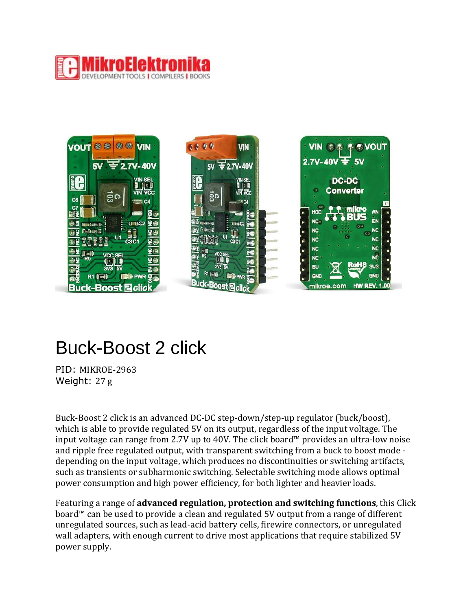



## Buck-Boost 2 click

PID: MIKROE-2963 Weight: 27 g

Buck-Boost 2 click is an advanced DC-DC step-down/step-up regulator (buck/boost), which is able to provide regulated 5V on its output, regardless of the input voltage. The input voltage can range from 2.7V up to 40V. The click board™ provides an ultra-low noise and ripple free regulated output, with transparent switching from a buck to boost mode depending on the input voltage, which produces no discontinuities or switching artifacts, such as transients or subharmonic switching. Selectable switching mode allows optimal power consumption and high power efficiency, for both lighter and heavier loads.

Featuring a range of **advanced regulation, protection and switching functions**, this Click board™ can be used to provide a clean and regulated 5V output from a range of different unregulated sources, such as lead-acid battery cells, firewire connectors, or unregulated wall adapters, with enough current to drive most applications that require stabilized 5V power supply.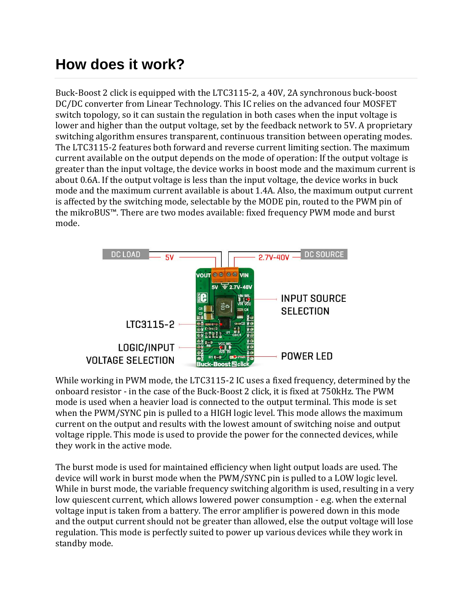## **How does it work?**

Buck-Boost 2 click is equipped with the [LTC3115-2,](https://download.mikroe.com/documents/datasheets/LTC3115-2.pdf) a 40V, 2A synchronous buck-boost DC/DC converter from Linear [Technology.](http://www.linear.com/) This IC relies on the advanced four MOSFET switch topology, so it can sustain the regulation in both cases when the input voltage is lower and higher than the output voltage, set by the feedback network to 5V. A proprietary switching algorithm ensures transparent, continuous transition between operating modes. The LTC3115-2 features both forward and reverse current limiting section. The maximum current available on the output depends on the mode of operation: If the output voltage is greater than the input voltage, the device works in boost mode and the maximum current is about 0.6A. If the output voltage is less than the input voltage, the device works in buck mode and the maximum current available is about 1.4A. Also, the maximum output current is affected by the switching mode, selectable by the MODE pin, routed to the PWM pin of the mikroBUS™. There are two modes available: fixed frequency PWM mode and burst mode.



While working in PWM mode, the LTC3115-2 IC uses a fixed frequency, determined by the onboard resistor - in the case of the Buck-Boost 2 click, it is fixed at 750kHz. The PWM mode is used when a heavier load is connected to the output terminal. This mode is set when the PWM/SYNC pin is pulled to a HIGH logic level. This mode allows the maximum current on the output and results with the lowest amount of switching noise and output voltage ripple. This mode is used to provide the power for the connected devices, while they work in the active mode.

The burst mode is used for maintained efficiency when light output loads are used. The device will work in burst mode when the PWM/SYNC pin is pulled to a LOW logic level. While in burst mode, the variable frequency switching algorithm is used, resulting in a very low quiescent current, which allows lowered power consumption - e.g. when the external voltage input is taken from a battery. The error amplifier is powered down in this mode and the output current should not be greater than allowed, else the output voltage will lose regulation. This mode is perfectly suited to power up various devices while they work in standby mode.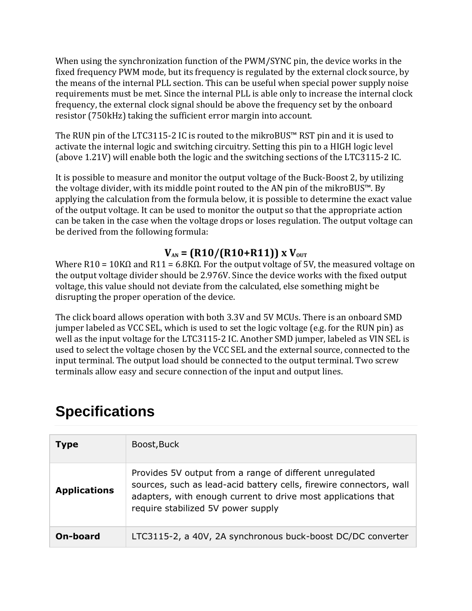When using the synchronization function of the PWM/SYNC pin, the device works in the fixed frequency PWM mode, but its frequency is regulated by the external clock source, by the means of the internal PLL section. This can be useful when special power supply noise requirements must be met. Since the internal PLL is able only to increase the internal clock frequency, the external clock signal should be above the frequency set by the onboard resistor (750kHz) taking the sufficient error margin into account.

The RUN pin of the LTC3115-2 IC is routed to the mikroBUS™ RST pin and it is used to activate the internal logic and switching circuitry. Setting this pin to a HIGH logic level (above 1.21V) will enable both the logic and the switching sections of the LTC3115-2 IC.

It is possible to measure and monitor the output voltage of the Buck-Boost 2, by utilizing the voltage divider, with its middle point routed to the AN pin of the mikroBUS™. By applying the calculation from the formula below, it is possible to determine the exact value of the output voltage. It can be used to monitor the output so that the appropriate action can be taken in the case when the voltage drops or loses regulation. The output voltage can be derived from the following formula:

#### $V_{AN} = (R10/(R10+R11)) \times V_{OUT}$

Where R10 = 10KΩ and R11 = 6.8KΩ. For the output voltage of 5V, the measured voltage on the output voltage divider should be 2.976V. Since the device works with the fixed output voltage, this value should not deviate from the calculated, else something might be disrupting the proper operation of the device.

The click board allows operation with both 3.3V and 5V MCUs. There is an onboard SMD jumper labeled as VCC SEL, which is used to set the logic voltage (e.g. for the RUN pin) as well as the input voltage for the LTC3115-2 IC. Another SMD jumper, labeled as VIN SEL is used to select the voltage chosen by the VCC SEL and the external source, connected to the input terminal. The output load should be connected to the output terminal. Two screw terminals allow easy and secure connection of the input and output lines.

| <b>Type</b>         | Boost, Buck                                                                                                                                                                                                                            |
|---------------------|----------------------------------------------------------------------------------------------------------------------------------------------------------------------------------------------------------------------------------------|
| <b>Applications</b> | Provides 5V output from a range of different unregulated<br>sources, such as lead-acid battery cells, firewire connectors, wall<br>adapters, with enough current to drive most applications that<br>require stabilized 5V power supply |
| On-board            | LTC3115-2, a 40V, 2A synchronous buck-boost DC/DC converter                                                                                                                                                                            |

## **Specifications**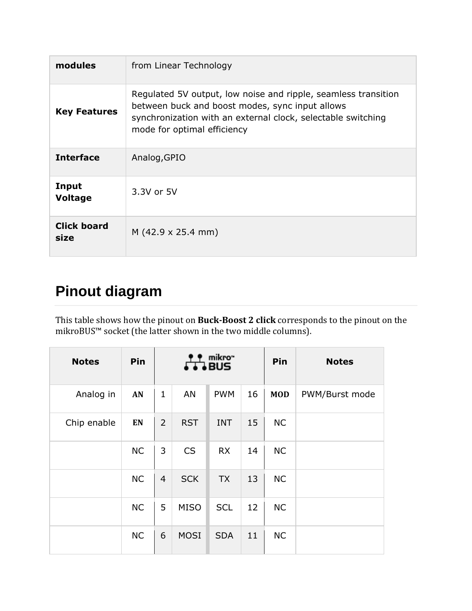| modules                    | from Linear Technology                                                                                                                                                                                           |
|----------------------------|------------------------------------------------------------------------------------------------------------------------------------------------------------------------------------------------------------------|
| <b>Key Features</b>        | Regulated 5V output, low noise and ripple, seamless transition<br>between buck and boost modes, sync input allows<br>synchronization with an external clock, selectable switching<br>mode for optimal efficiency |
| <b>Interface</b>           | Analog, GPIO                                                                                                                                                                                                     |
| Input<br><b>Voltage</b>    | 3.3V or 5V                                                                                                                                                                                                       |
| <b>Click board</b><br>size | $M(42.9 \times 25.4 \text{ mm})$                                                                                                                                                                                 |

## **Pinout diagram**

This table shows how the pinout on **Buck-Boost 2 click** corresponds to the pinout on the mikroBUS™ socket (the latter shown in the two middle columns).

| <b>Notes</b> | Pin       | mikro"<br>BUS  |             |            |    | Pin        | <b>Notes</b>   |
|--------------|-----------|----------------|-------------|------------|----|------------|----------------|
| Analog in    | AN        | $\mathbf{1}$   | AN          | <b>PWM</b> | 16 | <b>MOD</b> | PWM/Burst mode |
| Chip enable  | EN        | $\overline{2}$ | <b>RST</b>  | <b>INT</b> | 15 | <b>NC</b>  |                |
|              | <b>NC</b> | 3              | <b>CS</b>   | <b>RX</b>  | 14 | <b>NC</b>  |                |
|              | <b>NC</b> | $\overline{4}$ | <b>SCK</b>  | <b>TX</b>  | 13 | <b>NC</b>  |                |
|              | <b>NC</b> | 5              | <b>MISO</b> | <b>SCL</b> | 12 | <b>NC</b>  |                |
|              | <b>NC</b> | 6              | <b>MOSI</b> | <b>SDA</b> | 11 | <b>NC</b>  |                |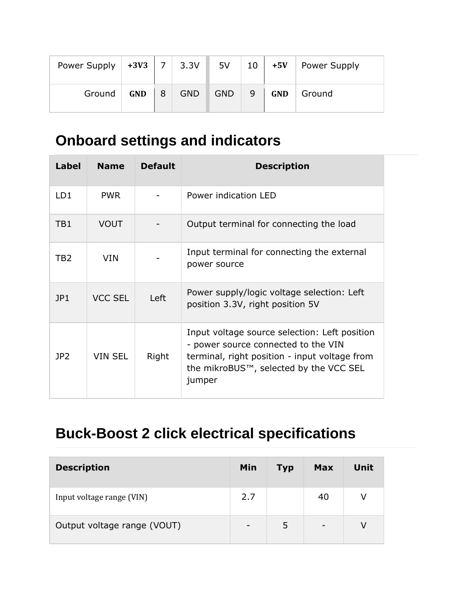| Power Supply | $+3V3$     | $\overline{7}$ | 3.3V       | 5V         | 10 | $+5V$      | Power Supply |
|--------------|------------|----------------|------------|------------|----|------------|--------------|
| Ground       | <b>GND</b> | 8              | <b>GND</b> | <b>GND</b> | 9  | <b>GND</b> | Ground       |

## **Onboard settings and indicators**

| <b>Label</b>    | <b>Name</b>    | <b>Default</b> | <b>Description</b>                                                                                                                                                                        |
|-----------------|----------------|----------------|-------------------------------------------------------------------------------------------------------------------------------------------------------------------------------------------|
| LD <sub>1</sub> | <b>PWR</b>     |                | Power indication LED                                                                                                                                                                      |
| TB1             | <b>VOUT</b>    |                | Output terminal for connecting the load                                                                                                                                                   |
| TB2             | <b>VIN</b>     |                | Input terminal for connecting the external<br>power source                                                                                                                                |
| JPI             | <b>VCC SEL</b> | Left           | Power supply/logic voltage selection: Left<br>position 3.3V, right position 5V                                                                                                            |
| JP <sub>2</sub> | <b>VIN SEL</b> | Right          | Input voltage source selection: Left position<br>- power source connected to the VIN<br>terminal, right position - input voltage from<br>the mikroBUS™, selected by the VCC SEL<br>jumper |

# **Buck-Boost 2 click electrical specifications**

| <b>Description</b>          | Min | Typ | <b>Max</b>               | Unit |
|-----------------------------|-----|-----|--------------------------|------|
| Input voltage range (VIN)   | 2.7 |     | 40                       | V    |
| Output voltage range (VOUT) | -   | 5   | $\overline{\phantom{a}}$ | V    |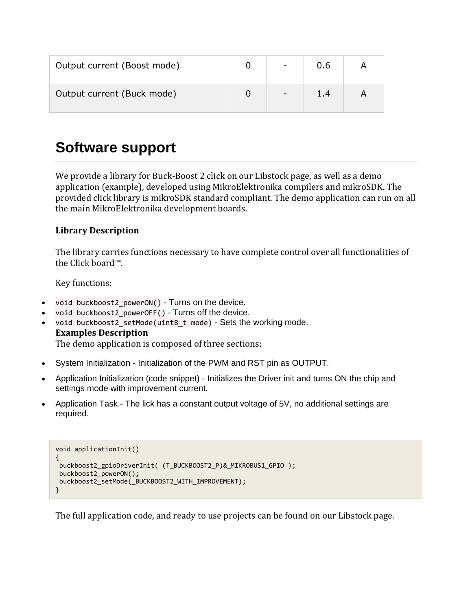| Output current (Boost mode) | $\overline{\phantom{a}}$ | 0.6 |  |
|-----------------------------|--------------------------|-----|--|
| Output current (Buck mode)  | $\overline{\phantom{a}}$ | 1.4 |  |

#### **Software support**

We provide a library for Buck-Boost 2 click on our [Libstock](https://libstock.mikroe.com/projects/view/2327/buck-boost-2-click) page, as well as a demo application (example), developed using MikroElektronika [compilers](https://www.mikroe.com/compilers) and [mikroSDK.](https://www.mikroe.com/mikrosdk) The provided click library is mikroSDK standard compliant. The demo application can run on all the main MikroElektronika [development](https://www.mikroe.com/development-boards) boards.

#### **Library Description**

The library carries functions necessary to have complete control over all functionalities of the Click board™.

Key functions:

- void buckboost2 powerON() Turns on the device.
- void buckboost2\_powerOFF() Turns off the device.
- void buckboost2\_setMode(uint8\_t mode) Sets the working mode. **Examples Description** The demo application is composed of three sections:
- System Initialization Initialization of the PWM and RST pin as OUTPUT.
- Application Initialization (code snippet) Initializes the Driver init and turns ON the chip and settings mode with improvement current.
- Application Task The lick has a constant output voltage of 5V, no additional settings are required.

```
void applicationInit()
{
buckboost2_gpioDriverInit( (T_BUCKBOOST2_P)&_MIKROBUS1_GPIO );
buckboost2_powerON();
buckboost2_setMode(_BUCKBOOST2_WITH_IMPROVEMENT);
}
```
The full application code, and ready to use projects can be found on our [Libstock](https://libstock.mikroe.com/projects/view/2327/buck-boost-2-click) page.